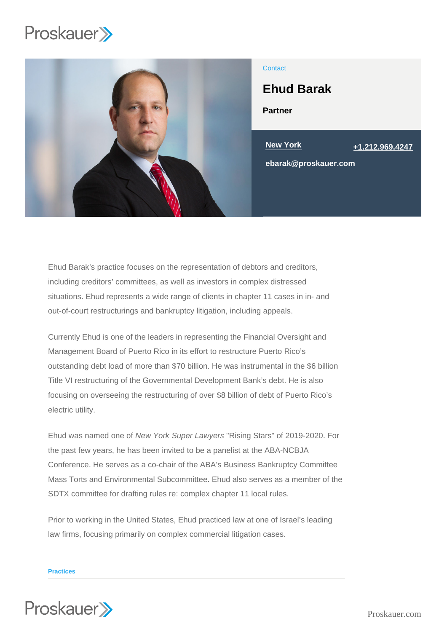

## **Contact**

# Ehud Barak

Partner

New York [+1.212.969.4247](tel:+1.212.969.4247)

ebarak@proskauer.com

Ehud Barak's practice focuses on the representation of debtors and creditors, including creditors' committees, as well as investors in complex distressed situations. Ehud represents a wide range of clients in chapter 11 cases in in- and out-of-court restructurings and bankruptcy litigation, including appeals.

Currently Ehud is one of the leaders in representing the Financial Oversight and Management Board of Puerto Rico in its effort to restructure Puerto Rico's outstanding debt load of more than \$70 billion. He was instrumental in the \$6 billion Title VI restructuring of the Governmental Development Bank's debt. He is also focusing on overseeing the restructuring of over \$8 billion of debt of Puerto Rico's electric utility.

Ehud was named one of New York Super Lawyers "Rising Stars" of 2019-2020. For the past few years, he has been invited to be a panelist at the ABA-NCBJA Conference. He serves as a co-chair of the ABA's Business Bankruptcy Committee Mass Torts and Environmental Subcommittee. Ehud also serves as a member of the SDTX committee for drafting rules re: complex chapter 11 local rules.

Prior to working in the United States, Ehud practiced law at one of Israel's leading law firms, focusing primarily on complex commercial litigation cases.

#### Practices